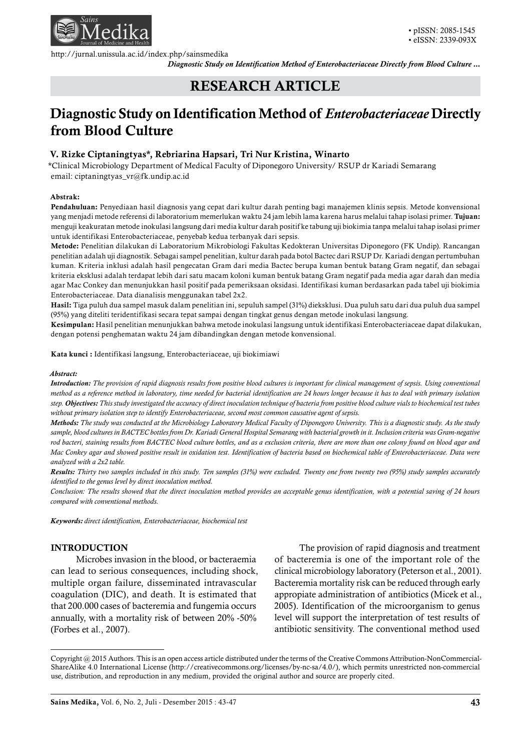

http://jurnal.unissula.ac.id/index.php/sainsmedika

*Diagnostic Study on Identification Method of Enterobacteriaceae Directly from Blood Culture ...* 

# RESEARCH ARTICLE

# Diagnostic Study on Identification Method of *Enterobacteriaceae* Directly from Blood Culture

# V. Rizke Ciptaningtyas\*, Rebriarina Hapsari, Tri Nur Kristina, Winarto

\*Clinical Microbiology Department of Medical Faculty of Diponegoro University/ RSUP dr Kariadi Semarang email: ciptaningtyas\_vr@fk.undip.ac.id

## Abstrak:

Pendahuluan: Penyediaan hasil diagnosis yang cepat dari kultur darah penting bagi manajemen klinis sepsis. Metode konvensional yang menjadi metode referensi di laboratorium memerlukan waktu 24 jam lebih lama karena harus melalui tahap isolasi primer. Tujuan: menguji keakuratan metode inokulasi langsung dari media kultur darah positif ke tabung uji biokimia tanpa melalui tahap isolasi primer untuk identifikasi Enterobacteriaceae, penyebab kedua terbanyak dari sepsis.

Metode: Penelitian dilakukan di Laboratorium Mikrobiologi Fakultas Kedokteran Universitas Diponegoro (FK Undip). Rancangan penelitian adalah uji diagnostik. Sebagai sampel penelitian, kultur darah pada botol Bactec dari RSUP Dr. Kariadi dengan pertumbuhan kuman. Kriteria inklusi adalah hasil pengecatan Gram dari media Bactec berupa kuman bentuk batang Gram negatif, dan sebagai kriteria eksklusi adalah terdapat lebih dari satu macam koloni kuman bentuk batang Gram negatif pada media agar darah dan media agar Mac Conkey dan menunjukkan hasil positif pada pemeriksaan oksidasi. Identifikasi kuman berdasarkan pada tabel uji biokimia Enterobacteriaceae. Data dianalisis menggunakan tabel 2x2.

Hasil: Tiga puluh dua sampel masuk dalam penelitian ini, sepuluh sampel (31%) dieksklusi. Dua puluh satu dari dua puluh dua sampel (95%) yang diteliti teridentifikasi secara tepat sampai dengan tingkat genus dengan metode inokulasi langsung.

Kesimpulan: Hasil penelitian menunjukkan bahwa metode inokulasi langsung untuk identifikasi Enterobacteriaceae dapat dilakukan, dengan potensi penghematan waktu 24 jam dibandingkan dengan metode konvensional.

Kata kunci : Identifikasi langsung, Enterobacteriaceae, uji biokimiawi

#### *Abstract:*

*Introduction: The provision of rapid diagnosis results from positive blood cultures is important for clinical management of sepsis. Using conventional method as a reference method in laboratory, time needed for bacterial identification are 24 hours longer because it has to deal with primary isolation step. Objectives: This study investigated the accuracy of direct inoculation technique of bacteria from positive blood culture vials to biochemical test tubes without primary isolation step to identify Enterobacteriaceae, second most common causative agent of sepsis.*

*Methods: The study was conducted at the Microbiology Laboratory Medical Faculty of Diponegoro University. This is a diagnostic study. As the study sample, blood cultures in BACTEC bottles from Dr. Kariadi General Hospital Semarang with bacterial growth in it. Inclusion criteria was Gram-negative rod bacteri, staining results from BACTEC blood culture bottles, and as a exclusion criteria, there are more than one colony found on blood agar and Mac Conkey agar and showed positive result in oxidation test. Identification of bacteria based on biochemical table of Enterobacteriaceae. Data were analyzed with a 2x2 table.*

*Results: Thirty two samples included in this study. Ten samples (31%) were excluded. Twenty one from twenty two (95%) study samples accurately identified to the genus level by direct inoculation method.*

*Conclusion: The results showed that the direct inoculation method provides an acceptable genus identification, with a potential saving of 24 hours compared with conventional methods.*

*Keywords: direct identification, Enterobacteriaceae, biochemical test*

## INTRODUCTION

Microbes invasion in the blood, or bacteraemia can lead to serious consequences, including shock, multiple organ failure, disseminated intravascular coagulation (DIC), and death. It is estimated that that 200.000 cases of bacteremia and fungemia occurs annually, with a mortality risk of between 20% -50% (Forbes et al., 2007).

The provision of rapid diagnosis and treatment of bacteremia is one of the important role of the clinical microbiology laboratory (Peterson et al., 2001). Bacteremia mortality risk can be reduced through early appropiate administration of antibiotics (Micek et al., 2005). Identification of the microorganism to genus level will support the interpretation of test results of antibiotic sensitivity. The conventional method used

Copyright @ 2015 Authors. This is an open access article distributed under the terms of the Creative Commons Attribution-NonCommercial-ShareAlike 4.0 International License (http://creativecommons.org/licenses/by-nc-sa/4.0/), which permits unrestricted non-commercial use, distribution, and reproduction in any medium, provided the original author and source are properly cited.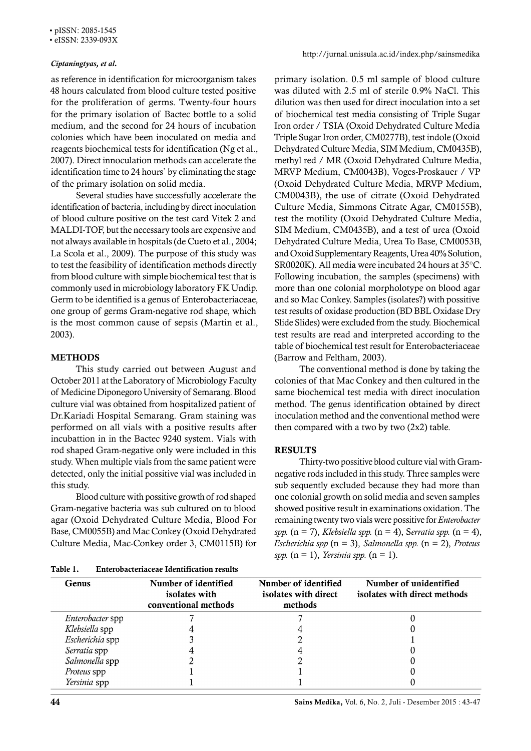### • eISSN: 2339-093X

## *Ciptaningtyas, et al.*

as reference in identification for microorganism takes 48 hours calculated from blood culture tested positive for the proliferation of germs. Twenty-four hours for the primary isolation of Bactec bottle to a solid medium, and the second for 24 hours of incubation colonies which have been inoculated on media and reagents biochemical tests for identification (Ng et al., 2007). Direct innoculation methods can accelerate the identification time to 24 hours` by eliminating the stage of the primary isolation on solid media.

Several studies have successfully accelerate the identification of bacteria, including by direct inoculation of blood culture positive on the test card Vitek 2 and MALDI-TOF, but the necessary tools are expensive and not always available in hospitals (de Cueto et al., 2004; La Scola et al., 2009). The purpose of this study was to test the feasibility of identification methods directly from blood culture with simple biochemical test that is commonly used in microbiology laboratory FK Undip. Germ to be identified is a genus of Enterobacteriaceae, one group of germs Gram-negative rod shape, which is the most common cause of sepsis (Martin et al., 2003).

# **METHODS**

This study carried out between August and October 2011 at the Laboratory of Microbiology Faculty of Medicine Diponegoro University of Semarang. Blood culture vial was obtained from hospitalized patient of Dr.Kariadi Hospital Semarang. Gram staining was performed on all vials with a positive results after incubattion in in the Bactec 9240 system. Vials with rod shaped Gram-negative only were included in this study. When multiple vials from the same patient were detected, only the initial possitive vial was included in this study.

Blood culture with possitive growth of rod shaped Gram-negative bacteria was sub cultured on to blood agar (Oxoid Dehydrated Culture Media, Blood For Base, CM0055B) and Mac Conkey (Oxoid Dehydrated Culture Media, Mac-Conkey order 3, CM0115B) for

| <b>Enterobacteriaceae Identification results</b> |
|--------------------------------------------------|
|                                                  |

primary isolation. 0.5 ml sample of blood culture was diluted with 2.5 ml of sterile 0.9% NaCl. This dilution was then used for direct inoculation into a set of biochemical test media consisting of Triple Sugar Iron order / TSIA (Oxoid Dehydrated Culture Media Triple Sugar Iron order, CM0277B), test indole (Oxoid Dehydrated Culture Media, SIM Medium, CM0435B), methyl red / MR (Oxoid Dehydrated Culture Media, MRVP Medium, CM0043B), Voges-Proskauer / VP (Oxoid Dehydrated Culture Media, MRVP Medium, CM0043B), the use of citrate (Oxoid Dehydrated Culture Media, Simmons Citrate Agar, CM0155B), test the motility (Oxoid Dehydrated Culture Media, SIM Medium, CM0435B), and a test of urea (Oxoid Dehydrated Culture Media, Urea To Base, CM0053B, and Oxoid Supplementary Reagents, Urea 40% Solution, SR0020K). All media were incubated 24 hours at 35°C. Following incubation, the samples (specimens) with more than one colonial morpholotype on blood agar and so Mac Conkey. Samples (isolates?) with possitive test results of oxidase production (BD BBL Oxidase Dry Slide Slides) were excluded from the study. Biochemical test results are read and interpreted according to the table of biochemical test result for Enterobacteriaceae (Barrow and Feltham, 2003).

The conventional method is done by taking the colonies of that Mac Conkey and then cultured in the same biochemical test media with direct inoculation method. The genus identification obtained by direct inoculation method and the conventional method were then compared with a two by two  $(2x2)$  table.

# RESULTS

Thirty-two possitive blood culture vial with Gramnegative rods included in this study. Three samples were sub sequently excluded because they had more than one colonial growth on solid media and seven samples showed positive result in examinations oxidation. The remaining twenty two vials were possitive for *Enterobacter spp.* (n = 7), *Klebsiella spp.* (n = 4), S*erratia spp.* (n = 4), *Escherichia spp* (n = 3), *Salmonella spp.* (n = 2), *Proteus spp.* (n = 1), *Yersinia spp.* (n = 1).

| Genus            | Number of identified<br>isolates with<br>conventional methods | Number of identified<br>isolates with direct<br>methods | Number of unidentified<br>isolates with direct methods |
|------------------|---------------------------------------------------------------|---------------------------------------------------------|--------------------------------------------------------|
| Enterobacter spp |                                                               |                                                         |                                                        |
| Klebsiella spp   |                                                               |                                                         |                                                        |
| Escherichia spp  |                                                               |                                                         |                                                        |
| Serratia spp     |                                                               |                                                         |                                                        |
| Salmonella spp   |                                                               |                                                         |                                                        |
| Proteus spp      |                                                               |                                                         |                                                        |
| Yersinia spp     |                                                               |                                                         |                                                        |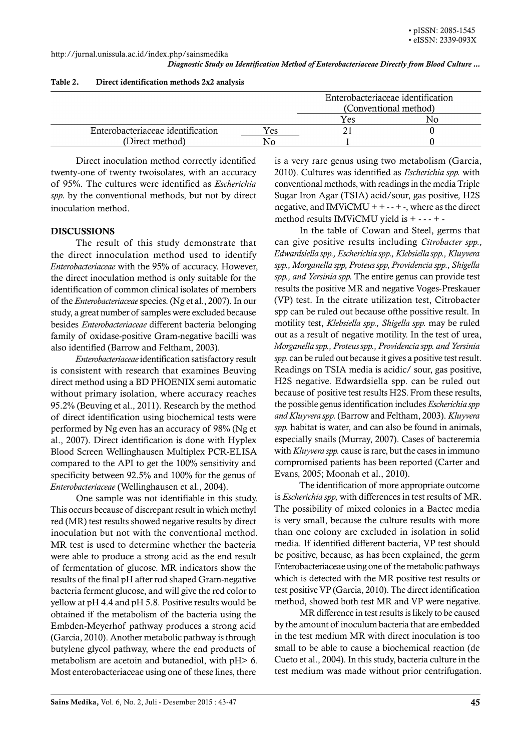*Diagnostic Study on Identification Method of Enterobacteriaceae Directly from Blood Culture ...* 

|                                   |     | Enterobacteriaceae identification |    |
|-----------------------------------|-----|-----------------------------------|----|
|                                   |     | (Conventional method)             |    |
|                                   |     | Yes                               | NC |
| Enterobacteriaceae identification | Yes |                                   |    |
| (Direct method)                   | Ν۵  |                                   |    |

#### Table 2. Direct identification methods 2x2 analysis

Direct inoculation method correctly identified twenty-one of twenty twoisolates, with an accuracy of 95%. The cultures were identified as *Escherichia spp.* by the conventional methods, but not by direct inoculation method.

# **DISCUSSIONS**

The result of this study demonstrate that the direct innoculation method used to identify *Enterobacteriaceae* with the 95% of accuracy. However, the direct inoculation method is only suitable for the identification of common clinical isolates of members of the *Enterobacteriaceae* species. (Ng et al., 2007). In our study, a great number of samples were excluded because besides *Enterobacteriaceae* different bacteria belonging family of oxidase-positive Gram-negative bacilli was also identified (Barrow and Feltham, 2003).

*Enterobacteriaceae* identification satisfactory result is consistent with research that examines Beuving direct method using a BD PHOENIX semi automatic without primary isolation, where accuracy reaches 95.2% (Beuving et al., 2011). Research by the method of direct identification using biochemical tests were performed by Ng even has an accuracy of 98% (Ng et al., 2007). Direct identification is done with Hyplex Blood Screen Wellinghausen Multiplex PCR-ELISA compared to the API to get the 100% sensitivity and specificity between 92.5% and 100% for the genus of *Enterobacteriaceae* (Wellinghausen et al., 2004).

One sample was not identifiable in this study. This occurs because of discrepant result in which methyl red (MR) test results showed negative results by direct inoculation but not with the conventional method. MR test is used to determine whether the bacteria were able to produce a strong acid as the end result of fermentation of glucose. MR indicators show the results of the final pH after rod shaped Gram-negative bacteria ferment glucose, and will give the red color to yellow at pH 4.4 and pH 5.8. Positive results would be obtained if the metabolism of the bacteria using the Embden-Meyerhof pathway produces a strong acid (Garcia, 2010). Another metabolic pathway is through butylene glycol pathway, where the end products of metabolism are acetoin and butanediol, with pH> 6. Most enterobacteriaceae using one of these lines, there

is a very rare genus using two metabolism (Garcia, 2010). Cultures was identified as *Escherichia spp.* with conventional methods, with readings in the media Triple Sugar Iron Agar (TSIA) acid/sour, gas positive, H2S negative, and IMViCMU +  $+ - + -$ , where as the direct method results IMViCMU yield is + - - - + -

In the table of Cowan and Steel, germs that can give positive results including *Citrobacter spp., Edwardsiella spp., Escherichia spp., Klebsiella spp., Kluyvera spp., Morganella spp, Proteus spp, Providencia spp., Shigella spp., and Yersinia spp.* The entire genus can provide test results the positive MR and negative Voges-Preskauer (VP) test. In the citrate utilization test, Citrobacter spp can be ruled out because ofthe possitive result. In motility test, *Klebsiella spp., Shigella spp.* may be ruled out as a result of negative motility. In the test of urea, *Morganella spp., Proteus spp., Providencia spp. and Yersinia spp.* can be ruled out because it gives a positive test result. Readings on TSIA media is acidic/ sour, gas positive, H2S negative. Edwardsiella spp. can be ruled out because of positive test results H2S. From these results, the possible genus identification includes *Escherichia spp and Kluyvera spp.* (Barrow and Feltham, 2003). *Kluyvera spp.* habitat is water, and can also be found in animals, especially snails (Murray, 2007). Cases of bacteremia with *Kluyvera spp.* cause is rare, but the cases in immuno compromised patients has been reported (Carter and Evans, 2005; Moonah et al., 2010).

The identification of more appropriate outcome is *Escherichia spp,* with differences in test results of MR. The possibility of mixed colonies in a Bactec media is very small, because the culture results with more than one colony are excluded in isolation in solid media. If identified different bacteria, VP test should be positive, because, as has been explained, the germ Enterobacteriaceae using one of the metabolic pathways which is detected with the MR positive test results or test positive VP (Garcia, 2010). The direct identification method, showed both test MR and VP were negative.

MR difference in test results is likely to be caused by the amount of inoculum bacteria that are embedded in the test medium MR with direct inoculation is too small to be able to cause a biochemical reaction (de Cueto et al., 2004). In this study, bacteria culture in the test medium was made without prior centrifugation.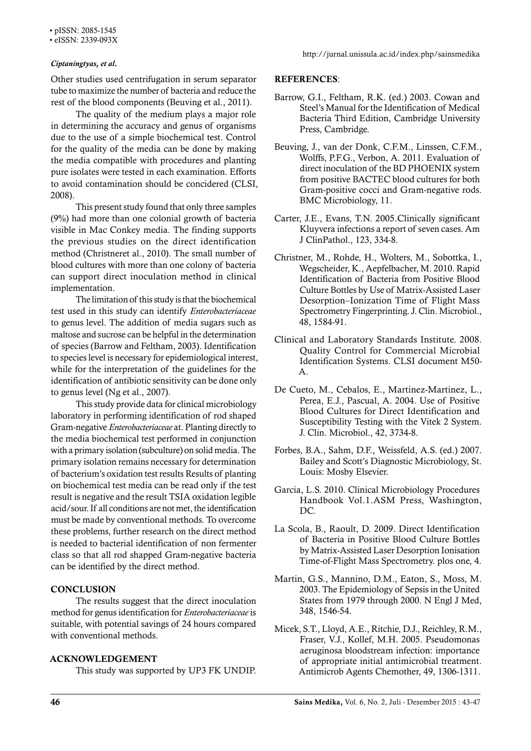• pISSN: 2085-1545

• eISSN: 2339-093X

Other studies used centrifugation in serum separator tube to maximize the number of bacteria and reduce the rest of the blood components (Beuving et al., 2011).

The quality of the medium plays a major role in determining the accuracy and genus of organisms due to the use of a simple biochemical test. Control for the quality of the media can be done by making the media compatible with procedures and planting pure isolates were tested in each examination. Efforts to avoid contamination should be concidered (CLSI, 2008).

This present study found that only three samples (9%) had more than one colonial growth of bacteria visible in Mac Conkey media. The finding supports the previous studies on the direct identification method (Christneret al., 2010). The small number of blood cultures with more than one colony of bacteria can support direct inoculation method in clinical implementation.

The limitation of this study is that the biochemical test used in this study can identify *Enterobacteriaceae* to genus level. The addition of media sugars such as maltose and sucrose can be helpful in the determination of species (Barrow and Feltham, 2003). Identification to species level is necessary for epidemiological interest, while for the interpretation of the guidelines for the identification of antibiotic sensitivity can be done only to genus level (Ng et al., 2007).

This study provide data for clinical microbiology laboratory in performing identification of rod shaped Gram-negative *Enterobacteriaceae* at. Planting directly to the media biochemical test performed in conjunction with a primary isolation (subculture) on solid media. The primary isolation remains necessary for determination of bacterium's oxidation test results Results of planting on biochemical test media can be read only if the test result is negative and the result TSIA oxidation legible acid/sour. If all conditions are not met, the identification must be made by conventional methods. To overcome these problems, further research on the direct method is needed to bacterial identification of non fermenter class so that all rod shapped Gram-negative bacteria can be identified by the direct method.

## **CONCLUSION**

The results suggest that the direct inoculation method for genus identification for *Enterobacteriaceae* is suitable, with potential savings of 24 hours compared with conventional methods.

## ACKNOWLEDGEMENT

This study was supported by UP3 FK UNDIP.

### REFERENCES:

- Barrow, G.I., Feltham, R.K. (ed.) 2003. Cowan and Steel's Manual for the Identification of Medical Bacteria Third Edition, Cambridge University Press, Cambridge.
- Beuving, J., van der Donk, C.F.M., Linssen, C.F.M., Wolffs, P.F.G., Verbon, A. 2011. Evaluation of direct inoculation of the BD PHOENIX system from positive BACTEC blood cultures for both Gram-positive cocci and Gram-negative rods. BMC Microbiology, 11.
- Carter, J.E., Evans, T.N. 2005.Clinically significant Kluyvera infections a report of seven cases. Am J ClinPathol., 123, 334-8.
- Christner, M., Rohde, H., Wolters, M., Sobottka, I., Wegscheider, K., Aepfelbacher, M. 2010. Rapid Identification of Bacteria from Positive Blood Culture Bottles by Use of Matrix-Assisted Laser Desorption–Ionization Time of Flight Mass Spectrometry Fingerprinting. J. Clin. Microbiol., 48, 1584-91.
- Clinical and Laboratory Standards Institute. 2008. Quality Control for Commercial Microbial Identification Systems. CLSI document M50- A.
- De Cueto, M., Cebalos, E., Martinez-Martinez, L., Perea, E.J., Pascual, A. 2004. Use of Positive Blood Cultures for Direct Identification and Susceptibility Testing with the Vitek 2 System. J. Clin. Microbiol., 42, 3734-8.
- Forbes, B.A., Sahm, D.F., Weissfeld, A.S. (ed.) 2007. Bailey and Scott's Diagnostic Microbiology, St. Louis: Mosby Elsevier.
- Garcia, L.S. 2010. Clinical Microbiology Procedures Handbook Vol.1.ASM Press, Washington, DC.
- La Scola, B., Raoult, D. 2009. Direct Identification of Bacteria in Positive Blood Culture Bottles by Matrix-Assisted Laser Desorption Ionisation Time-of-Flight Mass Spectrometry. plos one, 4.
- Martin, G.S., Mannino, D.M., Eaton, S., Moss, M. 2003. The Epidemiology of Sepsis in the United States from 1979 through 2000. N Engl J Med, 348, 1546-54.
- Micek, S.T., Lloyd, A.E., Ritchie, D.J., Reichley, R.M., Fraser, V.J., Kollef, M.H. 2005. Pseudomonas aeruginosa bloodstream infection: importance of appropriate initial antimicrobial treatment. Antimicrob Agents Chemother, 49, 1306-1311.